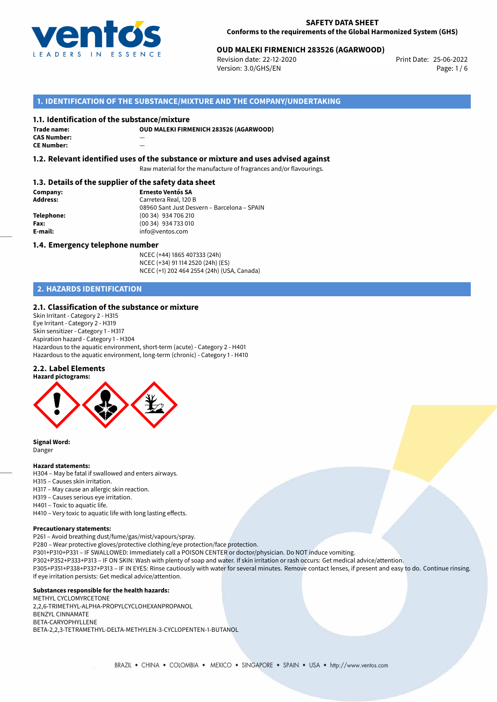

## 25-06-2022 **OUD MALEKI FIRMENICH 283526 (AGARWOOD)**

Revision date: 22-12-2020 Version: 3.0/GHS/EN Page: 1/6

## **1. IDENTIFICATION OF THE SUBSTANCE/MIXTURE AND THE COMPANY/UNDERTAKING**

#### **1.1. Identification of the substance/mixture**

| Trade name:        | O |
|--------------------|---|
| <b>CAS Number:</b> |   |
| <b>CE Number:</b>  |   |

**OUD MALEKI FIRMENICH 283526 (AGARWOOD)**

**1.2. Relevant identified uses of the substance or mixture and uses advised against**

Raw material for the manufacture of fragrances and/or flavourings.

#### **1.3. Details of the supplier of the safety data sheet**

**Company: Ernesto Ventós SA Address:** Carretera Real, 120 B 08960 Sant Just Desvern – Barcelona – SPAIN **Telephone:** (00 34) 934 706 210 **Fax:** (00 34) 934 733 010<br> **E-mail:** example the info@ventos.com **E-mail:** info@ventos.com

#### **1.4. Emergency telephone number**

NCEC (+44) 1865 407333 (24h) NCEC (+34) 91 114 2520 (24h) (ES) NCEC (+1) 202 464 2554 (24h) (USA, Canada)

## **2. HAZARDS IDENTIFICATION**

#### **2.1. Classification of the substance or mixture**

Skin Irritant - Category 2 - H315 Eye Irritant - Category 2 - H319 Skin sensitizer - Category 1 - H317 Aspiration hazard - Category 1 - H304 Hazardous to the aquatic environment, short-term (acute) - Category 2 - H401 Hazardous to the aquatic environment, long-term (chronic) - Category 1 - H410

#### **2.2. Label Elements**



**Signal Word:** Danger

#### **Hazard statements:**

H304 – May be fatal if swallowed and enters airways.

- H315 Causes skin irritation.
- H317 May cause an allergic skin reaction.
- H319 Causes serious eye irritation.
- H401 Toxic to aquatic life.

H410 – Very toxic to aquatic life with long lasting effects.

#### **Precautionary statements:**

P261 – Avoid breathing dust/fume/gas/mist/vapours/spray.

- P280 Wear protective gloves/protective clothing/eye protection/face protection.
- P301+P310+P331 IF SWALLOWED: Immediately call a POISON CENTER or doctor/physician. Do NOT induce vomiting.
- P302+P352+P333+P313 IF ON SKIN: Wash with plenty of soap and water. If skin irritation or rash occurs: Get medical advice/attention.
- P305+P351+P338+P337+P313 IF IN EYES: Rinse cautiously with water for several minutes. Remove contact lenses, if present and easy to do. Continue rinsing. If eye irritation persists: Get medical advice/attention.

#### **Substances responsible for the health hazards:**

METHYL CYCLOMYRCETONE 2,2,6-TRIMETHYL-ALPHA-PROPYLCYCLOHEXANPROPANOL BENZYL CINNAMATE BETA-CARYOPHYLLENE BETA-2,2,3-TETRAMETHYL-DELTA-METHYLEN-3-CYCLOPENTEN-1-BUTANOL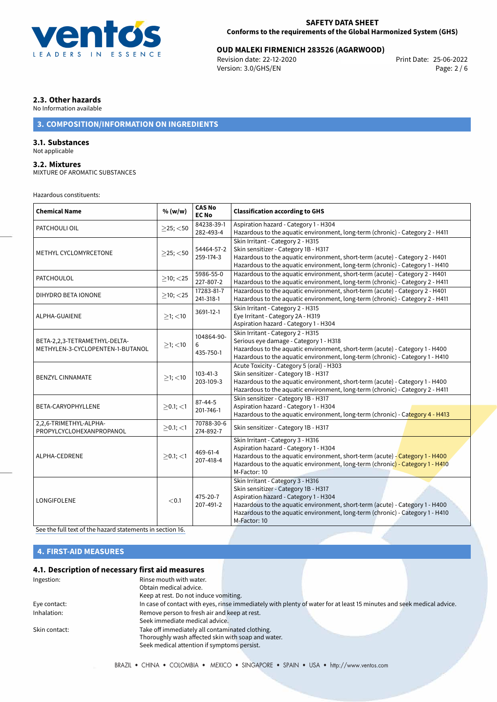

# 25-06-2022 **OUD MALEKI FIRMENICH 283526 (AGARWOOD)**

Revision date: 22-12-2020 Version: 3.0/GHS/EN Page: 2 / 6

## **2.3. Other hazards**

No Information available

## **3. COMPOSITION/INFORMATION ON INGREDIENTS**

## **3.1. Substances**

Not applicable

#### **3.2. Mixtures**

MIXTURE OF AROMATIC SUBSTANCES

#### Hazardous constituents:

| <b>Chemical Name</b>                                              | % (w/w)        | <b>CAS No</b><br><b>EC No</b> | <b>Classification according to GHS</b>                                                                                                                                                                                                                                                              |  |
|-------------------------------------------------------------------|----------------|-------------------------------|-----------------------------------------------------------------------------------------------------------------------------------------------------------------------------------------------------------------------------------------------------------------------------------------------------|--|
| PATCHOULI OIL                                                     | $>25$ ; <50    | 84238-39-1<br>282-493-4       | Aspiration hazard - Category 1 - H304<br>Hazardous to the aquatic environment, long-term (chronic) - Category 2 - H411                                                                                                                                                                              |  |
| METHYL CYCLOMYRCETONE                                             | $>25$ ; $<$ 50 | 54464-57-2<br>259-174-3       | Skin Irritant - Category 2 - H315<br>Skin sensitizer - Category 1B - H317<br>Hazardous to the aquatic environment, short-term (acute) - Category 2 - H401<br>Hazardous to the aquatic environment, long-term (chronic) - Category 1 - H410                                                          |  |
| <b>PATCHOULOL</b>                                                 | $\geq$ 10; <25 | 5986-55-0<br>227-807-2        | Hazardous to the aquatic environment, short-term (acute) - Category 2 - H401<br>Hazardous to the aquatic environment, long-term (chronic) - Category 2 - H411                                                                                                                                       |  |
| DIHYDRO BETA IONONE                                               | $\geq$ 10; <25 | 17283-81-7<br>241-318-1       | Hazardous to the aquatic environment, short-term (acute) - Category 2 - H401<br>Hazardous to the aquatic environment, long-term (chronic) - Category 2 - H411                                                                                                                                       |  |
| ALPHA-GUAIENE                                                     | $≥1;$ < 10     | 3691-12-1                     | Skin Irritant - Category 2 - H315<br>Eye Irritant - Category 2A - H319<br>Aspiration hazard - Category 1 - H304                                                                                                                                                                                     |  |
| BETA-2,2,3-TETRAMETHYL-DELTA-<br>METHYLEN-3-CYCLOPENTEN-1-BUTANOL | $>1$ ; <10     | 104864-90-<br>6<br>435-750-1  | Skin Irritant - Category 2 - H315<br>Serious eye damage - Category 1 - H318<br>Hazardous to the aquatic environment, short-term (acute) - Category 1 - H400<br>Hazardous to the aquatic environment, long-term (chronic) - Category 1 - H410                                                        |  |
| <b>BENZYL CINNAMATE</b>                                           | $>1$ ; <10     | $103 - 41 - 3$<br>203-109-3   | Acute Toxicity - Category 5 (oral) - H303<br>Skin sensitizer - Category 1B - H317<br>Hazardous to the aquatic environment, short-term (acute) - Category 1 - H400<br>Hazardous to the aquatic environment, long-term (chronic) - Category 2 - H411                                                  |  |
| BETA-CARYOPHYLLENE                                                | $>0.1$ ; <1    | $87 - 44 - 5$<br>201-746-1    | Skin sensitizer - Category 1B - H317<br>Aspiration hazard - Category 1 - H304<br>Hazardous to the aquatic environment, long-term (chronic) - Category 4 - H413                                                                                                                                      |  |
| 2,2,6-TRIMETHYL-ALPHA-<br>PROPYLCYCLOHEXANPROPANOL                | $\geq$ 0.1; <1 | 70788-30-6<br>274-892-7       | Skin sensitizer - Category 1B - H317                                                                                                                                                                                                                                                                |  |
| ALPHA-CEDRENE                                                     | $>0.1$ ; $<$ 1 | 469-61-4<br>207-418-4         | Skin Irritant - Category 3 - H316<br>Aspiration hazard - Category 1 - H304<br>Hazardous to the aguatic environment, short-term (acute) - Category 1 - H400<br>Hazardous to the aquatic environment, long-term (chronic) - Category 1 - H410<br>M-Factor: 10                                         |  |
| <b>LONGIFOLENE</b>                                                | < 0.1          | 475-20-7<br>207-491-2         | Skin Irritant - Category 3 - H316<br>Skin sensitizer - Category 1B - H317<br>Aspiration hazard - Category 1 - H304<br>Hazardous to the aquatic environment, short-term (acute) - Category 1 - H400<br>Hazardous to the aquatic environment, long-term (chronic) - Category 1 - H410<br>M-Factor: 10 |  |

[See the full text of the hazard statements in section 16.](#page-4-0)

## **4. FIRST-AID MEASURES**

## **4.1. Description of necessary first aid measures**

| Ingestion:    | Rinse mouth with water.<br>Obtain medical advice.  |                                                                                                                       |  |
|---------------|----------------------------------------------------|-----------------------------------------------------------------------------------------------------------------------|--|
|               | Keep at rest. Do not induce vomiting.              |                                                                                                                       |  |
| Eye contact:  |                                                    | In case of contact with eyes, rinse immediately with plenty of water for at least 15 minutes and seek medical advice. |  |
| Inhalation:   | Remove person to fresh air and keep at rest.       |                                                                                                                       |  |
|               | Seek immediate medical advice.                     |                                                                                                                       |  |
| Skin contact: | Take off immediately all contaminated clothing.    |                                                                                                                       |  |
|               | Thoroughly wash affected skin with soap and water. |                                                                                                                       |  |
|               | Seek medical attention if symptoms persist.        |                                                                                                                       |  |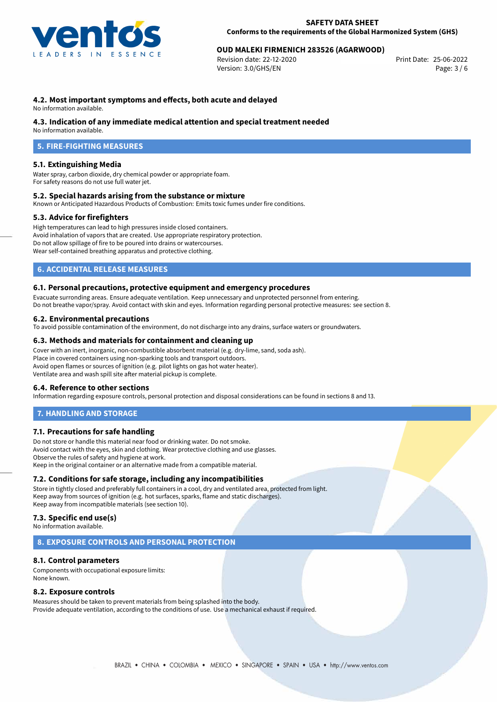

## 25-06-2022 **OUD MALEKI FIRMENICH 283526 (AGARWOOD)**

Revision date: 22-12-2020 Version: 3.0/GHS/EN Page: 3 / 6

### **4.2. Most important symptoms and effects, both acute and delayed**

No information available.

#### **4.3. Indication of any immediate medical attention and special treatment needed**

No information available.

## **5. FIRE-FIGHTING MEASURES**

#### **5.1. Extinguishing Media**

Water spray, carbon dioxide, dry chemical powder or appropriate foam. For safety reasons do not use full water jet.

#### **5.2. Special hazards arising from the substance or mixture**

Known or Anticipated Hazardous Products of Combustion: Emits toxic fumes under fire conditions.

#### **5.3. Advice for firefighters**

High temperatures can lead to high pressures inside closed containers. Avoid inhalation of vapors that are created. Use appropriate respiratory protection. Do not allow spillage of fire to be poured into drains or watercourses. Wear self-contained breathing apparatus and protective clothing.

### **6. ACCIDENTAL RELEASE MEASURES**

#### **6.1. Personal precautions, protective equipment and emergency procedures**

Evacuate surronding areas. Ensure adequate ventilation. Keep unnecessary and unprotected personnel from entering. Do not breathe vapor/spray. Avoid contact with skin and eyes. Information regarding personal protective measures: see section 8.

#### **6.2. Environmental precautions**

To avoid possible contamination of the environment, do not discharge into any drains, surface waters or groundwaters.

#### **6.3. Methods and materials for containment and cleaning up**

Cover with an inert, inorganic, non-combustible absorbent material (e.g. dry-lime, sand, soda ash). Place in covered containers using non-sparking tools and transport outdoors. Avoid open flames or sources of ignition (e.g. pilot lights on gas hot water heater). Ventilate area and wash spill site after material pickup is complete.

#### **6.4. Reference to other sections**

Information regarding exposure controls, personal protection and disposal considerations can be found in sections 8 and 13.

#### **7. HANDLING AND STORAGE**

#### **7.1. Precautions for safe handling**

Do not store or handle this material near food or drinking water. Do not smoke. Avoid contact with the eyes, skin and clothing. Wear protective clothing and use glasses. Observe the rules of safety and hygiene at work. Keep in the original container or an alternative made from a compatible material.

#### **7.2. Conditions for safe storage, including any incompatibilities**

Store in tightly closed and preferably full containers in a cool, dry and ventilated area, protected from light. Keep away from sources of ignition (e.g. hot surfaces, sparks, flame and static discharges). Keep away from incompatible materials (see section 10).

## **7.3. Specific end use(s)**

No information available.

### **8. EXPOSURE CONTROLS AND PERSONAL PROTECTION**

#### **8.1. Control parameters**

Components with occupational exposure limits: None known.

#### **8.2. Exposure controls**

Measures should be taken to prevent materials from being splashed into the body. Provide adequate ventilation, according to the conditions of use. Use a mechanical exhaust if required.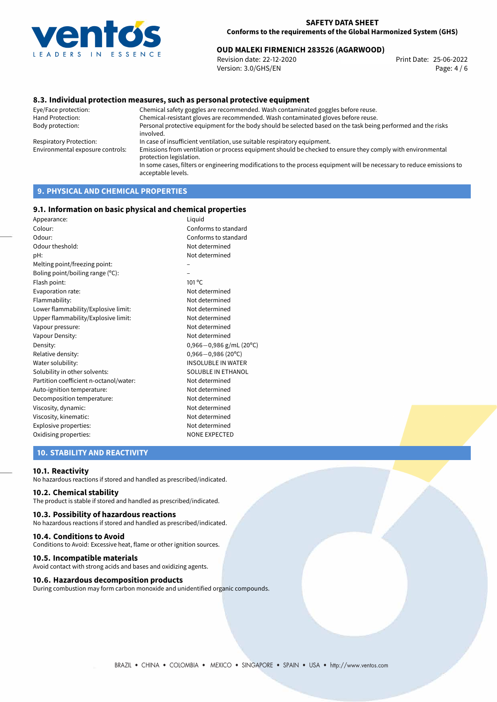

# 25-06-2022 **OUD MALEKI FIRMENICH 283526 (AGARWOOD)**

Revision date: 22-12-2020 Version: 3.0/GHS/EN Page: 4 / 6

#### **8.3. Individual protection measures, such as personal protective equipment**

Eye/Face protection: Chemical safety goggles are recommended. Wash contaminated goggles before reuse. Chemical-resistant gloves are recommended. Wash contaminated gloves before reuse. Body protection: Personal protective equipment for the body should be selected based on the task being performed and the risks involved. Respiratory Protection: In case of insufficient ventilation, use suitable respiratory equipment. Environmental exposure controls: Emissions from ventilation or process equipment should be checked to ensure they comply with environmental protection legislation. In some cases, filters or engineering modifications to the process equipment will be necessary to reduce emissions to acceptable levels.

## **9. PHYSICAL AND CHEMICAL PROPERTIES**

#### **9.1. Information on basic physical and chemical properties**

| Liquid                      |
|-----------------------------|
| Conforms to standard        |
| Conforms to standard        |
| Not determined              |
| Not determined              |
|                             |
|                             |
| $101^{\circ}$ C             |
| Not determined              |
| Not determined              |
| Not determined              |
| Not determined              |
| Not determined              |
| Not determined              |
| $0,966 - 0,986$ g/mL (20°C) |
| $0,966 - 0,986$ (20°C)      |
| <b>INSOLUBLE IN WATER</b>   |
| SOLUBLE IN ETHANOL          |
| Not determined              |
| Not determined              |
| Not determined              |
| Not determined              |
| Not determined              |
| Not determined              |
| <b>NONE EXPECTED</b>        |
|                             |

## **10. STABILITY AND REACTIVITY**

#### **10.1. Reactivity**

No hazardous reactions if stored and handled as prescribed/indicated.

#### **10.2. Chemical stability**

The product is stable if stored and handled as prescribed/indicated.

#### **10.3. Possibility of hazardous reactions**

No hazardous reactions if stored and handled as prescribed/indicated.

#### **10.4. Conditions to Avoid**

Conditions to Avoid: Excessive heat, flame or other ignition sources.

#### **10.5. Incompatible materials**

Avoid contact with strong acids and bases and oxidizing agents.

#### **10.6. Hazardous decomposition products**

During combustion may form carbon monoxide and unidentified organic compounds.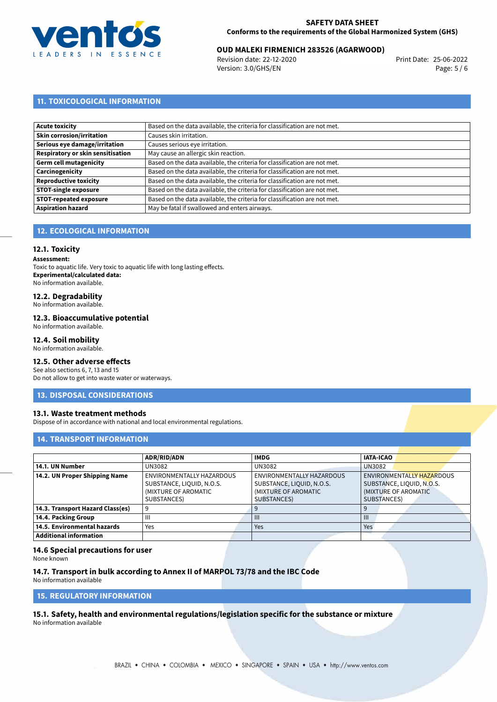

# 25-06-2022 **OUD MALEKI FIRMENICH 283526 (AGARWOOD)**

Revision date: 22-12-2020 Version: 3.0/GHS/EN Page: 5 / 6

## **11. TOXICOLOGICAL INFORMATION**

| Acute toxicity                    | Based on the data available, the criteria for classification are not met. |
|-----------------------------------|---------------------------------------------------------------------------|
| Skin corrosion/irritation         | Causes skin irritation.                                                   |
| Serious eye damage/irritation     | Causes serious eye irritation.                                            |
| Respiratory or skin sensitisation | May cause an allergic skin reaction.                                      |
| Germ cell mutagenicity            | Based on the data available, the criteria for classification are not met. |
| <b>Carcinogenicity</b>            | Based on the data available, the criteria for classification are not met. |
| Reproductive toxicity             | Based on the data available, the criteria for classification are not met. |
| STOT-single exposure              | Based on the data available, the criteria for classification are not met. |
| <b>STOT-repeated exposure</b>     | Based on the data available, the criteria for classification are not met. |
| <b>Aspiration hazard</b>          | May be fatal if swallowed and enters airways.                             |

## **12. ECOLOGICAL INFORMATION**

## **12.1. Toxicity**

**Assessment:**

Toxic to aquatic life. Very toxic to aquatic life with long lasting effects. **Experimental/calculated data:** No information available.

## **12.2. Degradability**

No information available.

#### **12.3. Bioaccumulative potential**

No information available.

### **12.4. Soil mobility**

No information available.

## **12.5. Other adverse effects**

See also sections 6, 7, 13 and 15 Do not allow to get into waste water or waterways.

#### **13. DISPOSAL CONSIDERATIONS**

#### **13.1. Waste treatment methods**

Dispose of in accordance with national and local environmental regulations.

#### **14. TRANSPORT INFORMATION**

|                                  | <b>ADR/RID/ADN</b>        | <b>IMDG</b>               | <b>IATA-ICAO</b>          |
|----------------------------------|---------------------------|---------------------------|---------------------------|
| 14.1. UN Number                  | UN3082                    | UN3082                    | <b>UN3082</b>             |
| 14.2. UN Proper Shipping Name    | ENVIRONMENTALLY HAZARDOUS | ENVIRONMENTALLY HAZARDOUS | ENVIRONMENTALLY HAZARDOUS |
|                                  | SUBSTANCE, LIQUID, N.O.S. | SUBSTANCE, LIQUID, N.O.S. | SUBSTANCE, LIQUID, N.O.S. |
|                                  | (MIXTURE OF AROMATIC      | (MIXTURE OF AROMATIC      | (MIXTURE OF AROMATIC      |
|                                  | SUBSTANCES)               | SUBSTANCES)               | SUBSTANCES)               |
| 14.3. Transport Hazard Class(es) | 9                         |                           | 9                         |
| 14.4. Packing Group              | Ш                         | $\mathbf{III}$            | $\mathbf{III}$            |
| 14.5. Environmental hazards      | Yes                       | Yes                       | Yes                       |
| <b>Additional information</b>    |                           |                           |                           |

#### **14.6 Special precautions for user**

None known

## **14.7. Transport in bulk according to Annex II of MARPOL 73/78 and the IBC Code**

No information available

**15. REGULATORY INFORMATION**

<span id="page-4-0"></span>**15.1. Safety, health and environmental regulations/legislation specific for the substance or mixture**